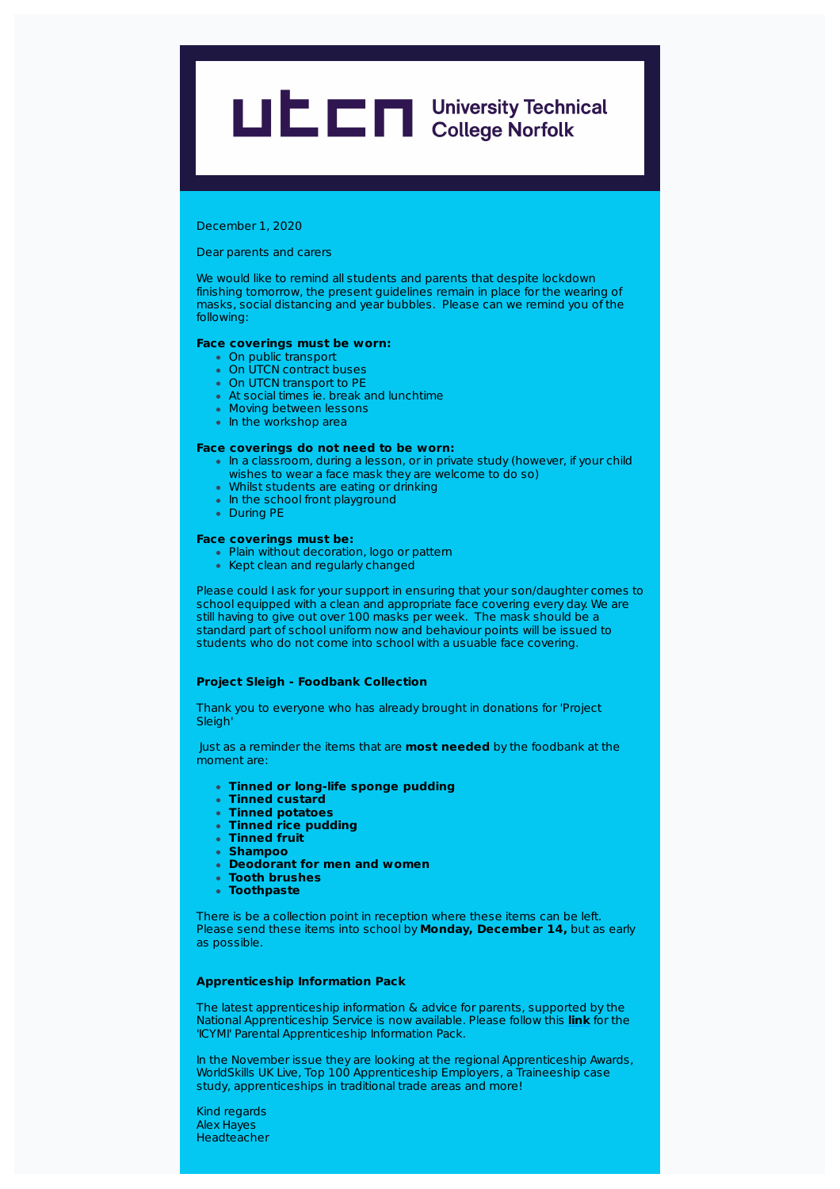# **LIEE Designations** University Technical

December 1, 2020

Dear parents and carers

We would like to remind all students and parents that despite lockdown finishing tomorrow, the present guidelines remain in place for the wearing of masks, social distancing and year bubbles. Please can we remind you of the following:

### **Face coverings must be worn:**

- On public transport
- On UTCN contract buses
- On UTCN transport to PE
- At social times ie. break and lunchtime
- **Moving between lessons**
- In the workshop area

#### **Face coverings do not need to be worn:**

- In a classroom, during a lesson, or in private study (however, if your child
- wishes to wear a face mask they are welcome to do so)
- Whilst students are eating or drinking • In the school front playground
- During PE

#### **Face coverings must be:**

- Plain without decoration, logo or pattern
- Kept clean and regularly changed

Please could I ask for your support in ensuring that your son/daughter comes to school equipped with a clean and appropriate face covering every day. We are still having to give out over 100 masks per week. The mask should be a standard part of school uniform now and behaviour points will be issued to students who do not come into school with a usuable face covering.

# **Project Sleigh - Foodbank Collection**

Thank you to everyone who has already brought in donations for 'Project **Sleigh** 

Just as a reminder the items that are **most needed** by the foodbank at the moment are:

- **Tinned or long-life sponge pudding**
- **Tinned custard**
- **Tinned potatoes**
- **Tinned rice pudding**
- **Tinned fruit**
- **Shampoo**
- **Deodorant for men and women**
- **Tooth brushes**
- **Toothpaste**

There is be a collection point in reception where these items can be left. Please send these items into school by **Monday, December 14,** but as early as possible.

# **Apprenticeship Information Pack**

The latest apprenticeship information & advice for parents, supported by the National Apprenticeship Service is now available. Please follow this **link** for the 'ICYMI' Parental Apprenticeship Information Pack.

In the November issue they are looking at the regional Apprenticeship Awards, WorldSkills UK Live, Top 100 Apprenticeship Employers, a Traineeship case study, apprenticeships in traditional trade areas and more!

Kind regards Alex Hayes **Headteacher**